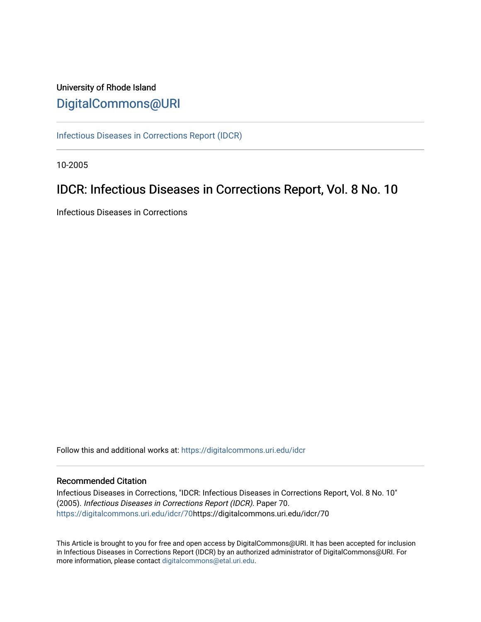# University of Rhode Island [DigitalCommons@URI](https://digitalcommons.uri.edu/)

[Infectious Diseases in Corrections Report \(IDCR\)](https://digitalcommons.uri.edu/idcr)

10-2005

# IDCR: Infectious Diseases in Corrections Report, Vol. 8 No. 10

Infectious Diseases in Corrections

Follow this and additional works at: [https://digitalcommons.uri.edu/idcr](https://digitalcommons.uri.edu/idcr?utm_source=digitalcommons.uri.edu%2Fidcr%2F70&utm_medium=PDF&utm_campaign=PDFCoverPages)

## Recommended Citation

Infectious Diseases in Corrections, "IDCR: Infectious Diseases in Corrections Report, Vol. 8 No. 10" (2005). Infectious Diseases in Corrections Report (IDCR). Paper 70. [https://digitalcommons.uri.edu/idcr/70h](https://digitalcommons.uri.edu/idcr/70?utm_source=digitalcommons.uri.edu%2Fidcr%2F70&utm_medium=PDF&utm_campaign=PDFCoverPages)ttps://digitalcommons.uri.edu/idcr/70

This Article is brought to you for free and open access by DigitalCommons@URI. It has been accepted for inclusion in Infectious Diseases in Corrections Report (IDCR) by an authorized administrator of DigitalCommons@URI. For more information, please contact [digitalcommons@etal.uri.edu.](mailto:digitalcommons@etal.uri.edu)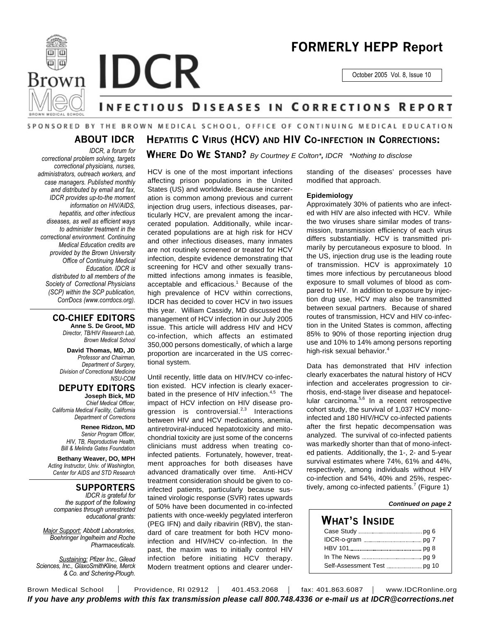



October 2005 Vol. 8, Issue 10

# **INFECTIOUS DISEASES IN CORRECTIONS REPORT**

**WHERE DO WE STAND?** *By Courtney E Colton\*, IDCR \*Nothing to disclose*

**HEPATITIS C VIRUS (HCV) AND HIV CO-INFECTION IN CORRECTIONS:**

## SPONSORED BY THE BROWN MEDICAL SCHOOL, OFFICE OF CONTINUING MEDICAL EDUCATION

# **ABOUT IDCR**

*IDCR, a forum for correctional problem solving, targets correctional physicians, nurses, administrators, outreach workers, and case managers. Published monthly and distributed by email and fax, IDCR provides up-to-the moment information on HIV/AIDS, hepatitis, and other infectious diseases, as well as efficient ways to administer treatment in the correctional environment. Continuing Medical Education credits are provided by the Brown University Office of Continuing Medical Education. IDCR is distributed to all members of the Society of Correctional Physicians (SCP) within the SCP publication, CorrDocs (www.corrdocs.org).*

### **CO-CHIEF EDITORS**

**Anne S. De Groot, MD** *Director, TB/HIV Research Lab, Brown Medical School*

**David Thomas, MD, JD** *Professor and Chairman, Department of Surgery, Division of Correctional Medicine NSU-COM*

**DEPUTY EDITORS Joseph Bick, MD**

*Chief Medical Officer, California Medical Facility, California Department of Corrections*

> **Renee Ridzon, MD** *Senior Program Officer, HIV, TB, Reproductive Health, Bill & Melinda Gates Foundation*

**Bethany Weaver, DO, MPH** *Acting Instructor, Univ. of Washington, Center for AIDS and STD Research*

## **SUPPORTERS**

*IDCR is grateful for the support of the following companies through unrestricted educational grants:*

*Major Support: Abbott Laboratories, Boehringer Ingelheim and Roche Pharmaceuticals.* 

*Sustaining: Pfizer Inc., Gilead Sciences, Inc., GlaxoSmithKline, Merck & Co. and Schering-Plough.*

HCV is one of the most important infections affecting prison populations in the United States (US) and worldwide. Because incarceration is common among previous and current injection drug users, infectious diseases, particularly HCV, are prevalent among the incarcerated population. Additionally, while incarcerated populations are at high risk for HCV and other infectious diseases, many inmates are not routinely screened or treated for HCV infection, despite evidence demonstrating that screening for HCV and other sexually transmitted infections among inmates is feasible, acceptable and efficacious. <sup>1</sup> Because of the high prevalence of HCV within corrections, IDCR has decided to cover HCV in two issues this year. William Cassidy, MD discussed the management of HCV infection in our July 2005 issue. This article will address HIV and HCV co-infection, which affects an estimated 350,000 persons domestically, of which a large proportion are incarcerated in the US correctional system.

Until recently, little data on HIV/HCV co-infection existed. HCV infection is clearly exacerbated in the presence of HIV infection.<sup>4,5</sup> The impact of HCV infection on HIV disease progression is controversial.<sup>2,3</sup> Interactions between HIV and HCV medications, anemia, antiretroviral-induced hepatotoxicity and mitochondrial toxicity are just some of the concerns clinicians must address when treating coinfected patients. Fortunately, however, treatment approaches for both diseases have advanced dramatically over time. Anti-HCV treatment consideration should be given to coinfected patients, particularly because sustained virologic response (SVR) rates upwards of 50% have been documented in co-infected patients with once-weekly pegylated interferon (PEG IFN) and daily ribavirin (RBV), the standard of care treatment for both HCV monoinfection and HIV/HCV co-infection. In the past, the maxim was to initially control HIV infection before initiating HCV therapy. Modern treatment options and clearer understanding of the diseases' processes have modified that approach.

#### **Epidemiology**

Approximately 30% of patients who are infected with HIV are also infected with HCV. While the two viruses share similar modes of transmission, transmission efficiency of each virus differs substantially. HCV is transmitted primarily by percutaneous exposure to blood. In the US, injection drug use is the leading route of transmission. HCV is approximately 10 times more infectious by percutaneous blood exposure to small volumes of blood as compared to HIV. In addition to exposure by injection drug use, HCV may also be transmitted between sexual partners. Because of shared routes of transmission, HCV and HIV co-infection in the United States is common, affecting 85% to 90% of those reporting injection drug use and 10% to 14% among persons reporting high-risk sexual behavior. 4

Data has demonstrated that HIV infection clearly exacerbates the natural history of HCV infection and accelerates progression to cirrhosis, end-stage liver disease and hepatocellular carcinoma.<sup>5,6</sup> In a recent retrospective cohort study, the survival of 1,037 HCV monoinfected and 180 HIV/HCV co-infected patients after the first hepatic decompensation was analyzed. The survival of co-infected patients was markedly shorter than that of mono-infected patients. Additionally, the 1-, 2- and 5-year survival estimates where 74%, 61% and 44%, respectively, among individuals without HIV co-infection and 54%, 40% and 25%, respectively, among co-infected patients.<sup>7</sup> (Figure 1)

#### *Continued on page 2*

## **WHAT'S INSIDE** Case Study **manual contract of the Study** of 6 IDCR-o-gram pg 7 HBV 101 pg 8 In The News pg 9 Self-Assessment Test **manual** content and 10

Brown Medical School | Providence, RI 02912 | 401.453.2068 | fax: 401.863.6087 | www.IDCRonline.org *If you have any problems with this fax transmission please call 800.748.4336 or e-mail us at IDCR@corrections.net*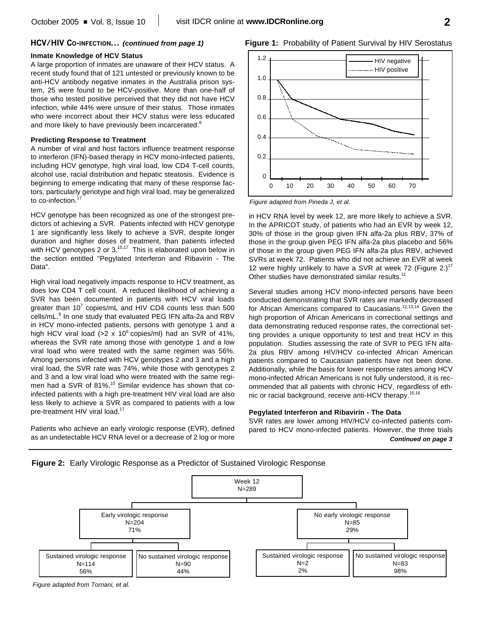#### **HCV/HIV CO-INFECTION...** *(continued from page 1)*

#### **Inmate Knowledge of HCV Status**

A large proportion of inmates are unaware of their HCV status. A recent study found that of 121 untested or previously known to be anti-HCV antibody negative inmates in the Australia prison system, 25 were found to be HCV-positive. More than one-half of those who tested positive perceived that they did not have HCV infection, while 44% were unsure of their status. Those inmates who were incorrect about their HCV status were less educated and more likely to have previously been incarcerated. $^8$ 

#### **Predicting Response to Treatment**

A number of viral and host factors influence treatment response to interferon (IFN)-based therapy in HCV mono-infected patients, including HCV genotype, high viral load, low CD4 T-cell counts, alcohol use, racial distribution and hepatic steatosis. Evidence is beginning to emerge indicating that many of these response factors, particularly genotype and high viral load, may be generalized to co-infection.<sup>17</sup>

HCV genotype has been recognized as one of the strongest predictors of achieving a SVR. Patients infected with HCV genotype 1 are significantly less likely to achieve a SVR, despite longer duration and higher doses of treatment, than patients infected with HCV genotypes 2 or 3.<sup>15,17</sup> This is elaborated upon below in the section entitled "Pegylated Interferon and Ribavirin - The Data".

High viral load negatively impacts response to HCV treatment, as does low CD4 T cell count. A reduced likelihood of achieving a SVR has been documented in patients with HCV viral loads greater than 10<sup>7</sup> copies/mL and HIV CD4 counts less than 500 cells/mL.<sup>9</sup> In one study that evaluated PEG IFN alfa-2a and RBV in HCV mono-infected patients, persons with genotype 1 and a high HCV viral load (>2 x 10 $^6$  copies/ml) had an SVR of 41%, whereas the SVR rate among those with genotype 1 and a low viral load who were treated with the same regimen was 56%. Among persons infected with HCV genotypes 2 and 3 and a high viral load, the SVR rate was 74%, while those with genotypes 2 and 3 and a low viral load who were treated with the same regimen had a SVR of 81%.<sup>10</sup> Similar evidence has shown that coinfected patients with a high pre-treatment HIV viral load are also less likely to achieve a SVR as compared to patients with a low pre-treatment HIV viral load.<sup>17</sup>

Patients who achieve an early virologic response (EVR), defined as an undetectable HCV RNA level or a decrease of 2 log or more



**Figure 1:** Probability of Patient Survival by HIV Serostatus

*Figure adapted from Pineda J, et al.*

in HCV RNA level by week 12, are more likely to achieve a SVR. In the APRICOT study, of patients who had an EVR by week 12, 30% of those in the group given IFN alfa-2a plus RBV, 37% of those in the group given PEG IFN alfa-2a plus placebo and 56% of those in the group given PEG IFN alfa-2a plus RBV, achieved SVRs at week 72. Patients who did not achieve an EVR at week 12 were highly unlikely to have a SVR at week 72 (Figure 2.)<sup>17</sup> Other studies have demonstrated similar results.<sup>11</sup>

Several studies among HCV mono-infected persons have been conducted demonstrating that SVR rates are markedly decreased for African Americans compared to Caucasians.<sup>12,13,14</sup> Given the high proportion of African Americans in correctional settings and data demonstrating reduced response rates, the correctional setting provides a unique opportunity to test and treat HCV in this population. Studies assessing the rate of SVR to PEG IFN alfa-2a plus RBV among HIV/HCV co-infected African American patients compared to Caucasian patients have not been done. Additionally, while the basis for lower response rates among HCV mono-infected African Americans is not fully understood, it is recommended that all patients with chronic HCV, regardless of ethnic or racial background, receive anti-HCV therapy. 15,16

#### **Pegylated Interferon and Ribavirin - The Data**

SVR rates are lower among HIV/HCV co-infected patients compared to HCV mono-infected patients. However, the three trials *Continued on page 3*





*Figure adapted from Torriani, et al.*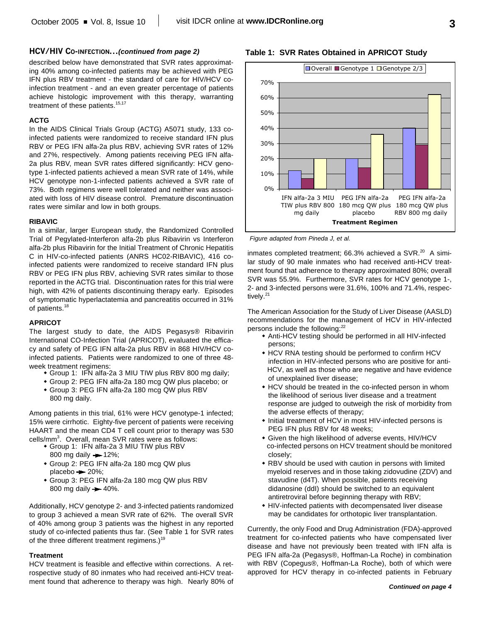#### **HCV/HIV CO-INFECTION...***(continued from page 2)*

described below have demonstrated that SVR rates approximating 40% among co-infected patients may be achieved with PEG IFN plus RBV treatment - the standard of care for HIV/HCV coinfection treatment - and an even greater percentage of patients achieve histologic improvement with this therapy, warranting treatment of these patients.<sup>15,17</sup>

#### **ACTG**

In the AIDS Clinical Trials Group (ACTG) A5071 study, 133 coinfected patients were randomized to receive standard IFN plus RBV or PEG IFN alfa-2a plus RBV, achieving SVR rates of 12% and 27%, respectively. Among patients receiving PEG IFN alfa-2a plus RBV, mean SVR rates differed significantly: HCV genotype 1-infected patients achieved a mean SVR rate of 14%, while HCV genotype non-1-infected patients achieved a SVR rate of 73%. Both regimens were well tolerated and neither was associated with loss of HIV disease control. Premature discontinuation rates were similar and low in both groups.

#### **RIBAVIC**

In a similar, larger European study, the Randomized Controlled Trial of Pegylated-Interferon alfa-2b plus Ribavirin vs Interferon alfa-2b plus Ribavirin for the Initial Treatment of Chronic Hepatitis C in HIV-co-infected patients (ANRS HC02-RIBAVIC), 416 coinfected patients were randomized to receive standard IFN plus RBV or PEG IFN plus RBV, achieving SVR rates similar to those reported in the ACTG trial. Discontinuation rates for this trial were high, with 42% of patients discontinuing therapy early. Episodes of symptomatic hyperlactatemia and pancreatitis occurred in 31% of patients.<sup>18</sup>

#### **APRICOT**

The largest study to date, the AIDS Pegasys® Ribavirin International CO-Infection Trial (APRICOT), evaluated the efficacy and safety of PEG IFN alfa-2a plus RBV in 868 HIV/HCV coinfected patients. Patients were randomized to one of three 48 week treatment regimens:

- w Group 1: IFN alfa-2a 3 MIU TIW plus RBV 800 mg daily;
- w Group 2: PEG IFN alfa-2a 180 mcg QW plus placebo; or
- w Group 3: PEG IFN alfa-2a 180 mcg QW plus RBV 800 mg daily.

Among patients in this trial, 61% were HCV genotype-1 infected; 15% were cirrhotic. Eighty-five percent of patients were receiving HAART and the mean CD4 T cell count prior to therapy was 530 cells/mm 3 . Overall, mean SVR rates were as follows:

- Group 1: IFN alfa-2a 3 MIU TIW plus RBV 800 mg daily  $- 12%$ ;
- Group 2: PEG IFN alfa-2a 180 mcg QW plus
- placebo  $-20%$ ;
- Group 3: PEG IFN alfa-2a 180 mcg QW plus RBV 800 mg daily  $-40%$ .

Additionally, HCV genotype 2- and 3-infected patients randomized to group 3 achieved a mean SVR rate of 62%. The overall SVR of 40% among group 3 patients was the highest in any reported study of co-infected patients thus far. (See Table 1 for SVR rates of the three different treatment regimens.)<sup>19</sup>

#### **Treatment**

HCV treatment is feasible and effective within corrections. A retrospective study of 80 inmates who had received anti-HCV treatment found that adherence to therapy was high. Nearly 80% of



*Figure adapted from Pineda J, et al.*

inmates completed treatment; 66.3% achieved a SVR.<sup>20</sup> A similar study of 90 male inmates who had received anti-HCV treatment found that adherence to therapy approximated 80%; overall SVR was 55.9%. Furthermore, SVR rates for HCV genotype 1-, 2- and 3-infected persons were 31.6%, 100% and 71.4%, respectively.<sup>21</sup>

The American Association for the Study of Liver Disease (AASLD) recommendations for the management of HCV in HIV-infected persons include the following:<sup>22</sup>

- Anti-HCV testing should be performed in all HIV-infected persons;
- HCV RNA testing should be performed to confirm HCV infection in HIV-infected persons who are positive for anti-HCV, as well as those who are negative and have evidence of unexplained liver disease;
- HCV should be treated in the co-infected person in whom the likelihood of serious liver disease and a treatment response are judged to outweigh the risk of morbidity from the adverse effects of therapy;
- Initial treatment of HCV in most HIV-infected persons is PEG IFN plus RBV for 48 weeks;
- Given the high likelihood of adverse events, HIV/HCV co-infected persons on HCV treatment should be monitored closely;
- RBV should be used with caution in persons with limited myeloid reserves and in those taking zidovudine (ZDV) and stavudine (d4T). When possible, patients receiving didanosine (ddI) should be switched to an equivalent antiretroviral before beginning therapy with RBV;
- HIV-infected patients with decompensated liver disease may be candidates for orthotopic liver transplantation.

Currently, the only Food and Drug Administration (FDA)-approved treatment for co-infected patients who have compensated liver disease and have not previously been treated with IFN alfa is PEG IFN alfa-2a (Pegasys®, Hoffman-La Roche) in combination with RBV (Copegus®, Hoffman-La Roche), both of which were approved for HCV therapy in co-infected patients in February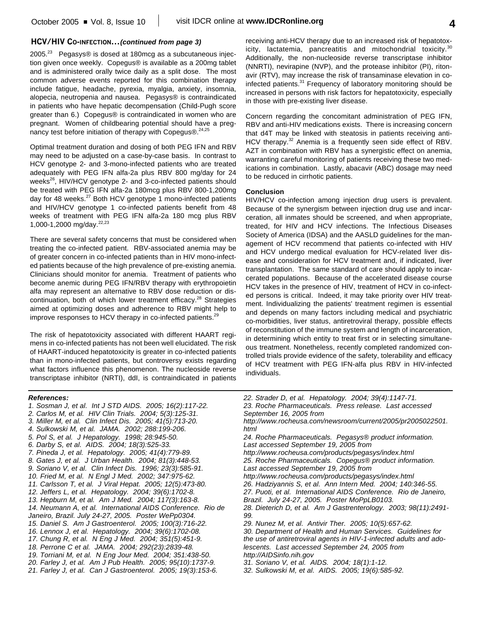### **HCV/HIV CO-INFECTION...***(continued from page 3)*

2005. $^{23}$  Pegasys® is dosed at 180mcg as a subcutaneous injection given once weekly. Copegus® is available as a 200mg tablet and is administered orally twice daily as a split dose. The most common adverse events reported for this combination therapy include fatigue, headache, pyrexia, myalgia, anxiety, insomnia, alopecia, neutropenia and nausea. Pegasys® is contraindicated in patients who have hepatic decompensation (Child-Pugh score greater than 6.) Copegus® is contraindicated in women who are pregnant. Women of childbearing potential should have a pregnancy test before initiation of therapy with Copegus®.<sup>24,25</sup>

Optimal treatment duration and dosing of both PEG IFN and RBV may need to be adjusted on a case-by-case basis. In contrast to HCV genotype 2- and 3-mono-infected patients who are treated adequately with PEG IFN alfa-2a plus RBV 800 mg/day for 24 weeks<sup>26</sup>, HIV/HCV genotype 2- and 3-co-infected patients should be treated with PEG IFN alfa-2a 180mcg plus RBV 800-1,200mg day for 48 weeks.<sup>27</sup> Both HCV genotype 1 mono-infected patients and HIV/HCV genotype 1 co-infected patients benefit from 48 weeks of treatment with PEG IFN alfa-2a 180 mcg plus RBV 1,000-1,2000 mg/day. 22,23

There are several safety concerns that must be considered when treating the co-infected patient. RBV-associated anemia may be of greater concern in co-infected patients than in HIV mono-infected patients because of the high prevalence of pre-existing anemia. Clinicians should monitor for anemia. Treatment of patients who become anemic during PEG IFN/RBV therapy with erythropoietin alfa may represent an alternative to RBV dose reduction or discontinuation, both of which lower treatment efficacy. <sup>28</sup> Strategies aimed at optimizing doses and adherence to RBV might help to improve responses to HCV therapy in co-infected patients.<sup>29</sup>

The risk of hepatotoxicity associated with different HAART regimens in co-infected patients has not been well elucidated. The risk of HAART-induced hepatotoxicity is greater in co-infected patients than in mono-infected patients, but controversy exists regarding what factors influence this phenomenon. The nucleoside reverse transcriptase inhibitor (NRTI), ddI, is contraindicated in patients

receiving anti-HCV therapy due to an increased risk of hepatotoxicity, lactatemia, pancreatitis and mitochondrial toxicity.<sup>30</sup> Additionally, the non-nucleoside reverse transcriptase inhibitor (NNRTI), nevirapine (NVP), and the protease inhibitor (PI), ritonavir (RTV), may increase the risk of transaminase elevation in coinfected patients.<sup>31</sup> Frequency of laboratory monitoring should be increased in persons with risk factors for hepatotoxicity, especially in those with pre-existing liver disease.

Concern regarding the concomitant administration of PEG IFN, RBV and anti-HIV medications exists. There is increasing concern that d4T may be linked with steatosis in patients receiving anti-HCV therapy.<sup>32</sup> Anemia is a frequently seen side effect of RBV. AZT in combination with RBV has a synergistic effect on anemia, warranting careful monitoring of patients receiving these two medications in combination. Lastly, abacavir (ABC) dosage may need to be reduced in cirrhotic patients.

#### **Conclusion**

HIV/HCV co-infection among injection drug users is prevalent. Because of the synergism between injection drug use and incarceration, all inmates should be screened, and when appropriate, treated, for HIV and HCV infections. The Infectious Diseases Society of America (IDSA) and the AASLD guidelines for the management of HCV recommend that patients co-infected with HIV and HCV undergo medical evaluation for HCV-related liver disease and consideration for HCV treatment and, if indicated, liver transplantation. The same standard of care should apply to incarcerated populations. Because of the accelerated disease course HCV takes in the presence of HIV, treatment of HCV in co-infected persons is critical. Indeed, it may take priority over HIV treatment. Individualizing the patients' treatment regimen is essential and depends on many factors including medical and psychiatric co-morbidities, liver status, antiretroviral therapy, possible effects of reconstitution of the immune system and length of incarceration, in determining which entity to treat first or in selecting simultaneous treatment. Nonetheless, recently completed randomized controlled trials provide evidence of the safety, tolerability and efficacy of HCV treatment with PEG IFN-alfa plus RBV in HIV-infected individuals.

#### *References:*

- *1. Sosman J, et al. Int J STD AIDS. 2005; 16(2):117-22. 2. Carlos M, et al. HIV Clin Trials. 2004; 5(3):125-31. 3. Miller M, et al. Clin Infect Dis. 2005; 41(5):713-20. 4. Sulkowski M, et al. JAMA. 2002; 288:199-206. 5. Pol S, et al. J Hepatology. 1998; 28:945-50. 6. Darby S, et al. AIDS. 2004; 18(3):525-33. 7. Pineda J, et al. Hepatology. 2005; 41(4):779-89. 8. Gates J, et al. J Urban Health. 2004; 81(3):448-53. 9. Soriano V, et al. Clin Infect Dis. 1996; 23(3):585-91. 10. Fried M, et al. N Engl J Med. 2002; 347:975-62. 11. Carlsson T, et al. J Viral Hepat. 2005; 12(5):473-80. 12. Jeffers L, et al. Hepatology. 2004; 39(6):1702-8. 13. Hepburn M, et al. Am J Med. 2004; 117(3):163-8. 14. Neumann A, et al. International AIDS Conference. Rio de Janeiro, Brazil. July 24-27, 2005. Poster WePp0304. 15. Daniel S. Am J Gastroenterol. 2005; 100(3):716-22. 16. Lennox J, et al. Hepatology. 2004; 39(6):1702-08. 17. Chung R, et al. N Eng J Med. 2004; 351(5):451-9. 18. Perrone C et al. JAMA. 2004; 292(23):2839-48. 19. Torriani M, et al. N Eng Jour Med. 2004; 351:438-50. 20. Farley J, et al. Am J Pub Health. 2005; 95(10):1737-9.*
- *21. Farley J, et al. Can J Gastroenterol. 2005; 19(3):153-6.*
- *22. Strader D, et al. Hepatology. 2004; 39(4):1147-71. 23. Roche Pharmaceuticals. Press release. Last accessed September 16, 2005 from http://www.rocheusa.com/newsroom/current/2005/pr2005022501. html 24. Roche Pharmaceuticals. Pegasys® product information. Last accessed September 19, 2005 from http://www.rocheusa.com/products/pegasys/index.html 25. Roche Pharmaceuticals. Copegus® product information. Last accessed September 19, 2005 from http://www.rocheusa.com/products/pegasys/index.html 26. Hadziyannis S, et al. Ann Intern Med. 2004; 140:346-55. 27. Puoti, et al. International AIDS Conference. Rio de Janeiro, Brazil. July 24-27, 2005. Poster MoPpLB0103. 28. Dieterich D, et al. Am J Gastrenterology. 2003; 98(11):2491- 99. 29. Nunez M, et al. Antivir Ther. 2005; 10(5):657-62. 30. Department of Health and Human Services. Guidelines for the use of antiretroviral agents in HIV-1-infected adults and adolescents. Last accessed September 24, 2005 from http://AIDSinfo.nih.gov*
- *31. Soriano V, et al. AIDS. 2004; 18(1):1-12.*
- *32. Sulkowski M, et al. AIDS. 2005; 19(6):585-92.*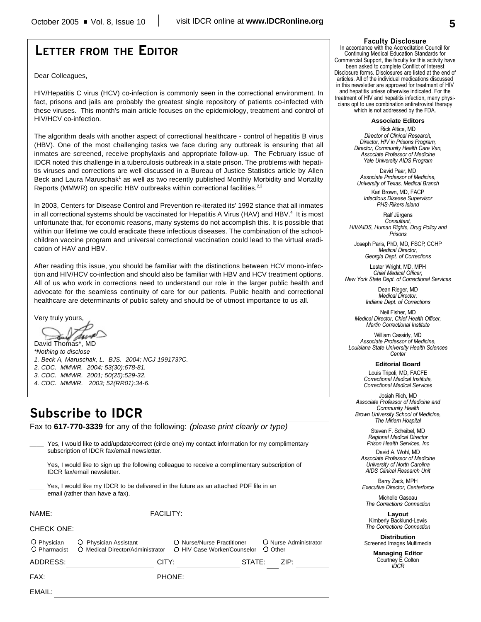# **LETTER FROM THE EDITOR**

Dear Colleagues,

HIV/Hepatitis C virus (HCV) co-infection is commonly seen in the correctional environment. In fact, prisons and jails are probably the greatest single repository of patients co-infected with these viruses. This month's main article focuses on the epidemiology, treatment and control of HIV/HCV co-infection.

The algorithm deals with another aspect of correctional healthcare - control of hepatitis B virus (HBV). One of the most challenging tasks we face during any outbreak is ensuring that all inmates are screened, receive prophylaxis and appropriate follow-up. The February issue of IDCR noted this challenge in a tuberculosis outbreak in a state prison. The problems with hepatitis viruses and corrections are well discussed in a Bureau of Justice Statistics article by Allen Beck and Laura Maruschak<sup>1</sup> as well as two recently published Monthly Morbidity and Mortality Reports (MMWR) on specific HBV outbreaks within correctional facilities.<sup>2,3</sup>

In 2003, Centers for Disease Control and Prevention re-iterated its' 1992 stance that all inmates in all correctional systems should be vaccinated for Hepatitis A Virus (HAV) and HBV.<sup>4</sup> It is most unfortunate that, for economic reasons, many systems do not accomplish this. It is possible that within our lifetime we could eradicate these infectious diseases. The combination of the schoolchildren vaccine program and universal correctional vaccination could lead to the virtual eradication of HAV and HBV.

After reading this issue, you should be familiar with the distinctions between HCV mono-infection and HIV/HCV co-infection and should also be familiar with HBV and HCV treatment options. All of us who work in corrections need to understand our role in the larger public health and advocate for the seamless continuity of care for our patients. Public health and correctional healthcare are determinants of public safety and should be of utmost importance to us all.

Very truly yours,

David Thomas\*, MD

*\*Nothing to disclose 1. Beck A, Maruschak, L. BJS. 2004; NCJ 199173?C. 2. CDC. MMWR. 2004; 53(30):678-81. 3. CDC. MMWR. 2001; 50(25):529-32. 4. CDC. MMWR. 2003; 52(RR01):34-6.*

# **Subscribe to IDCR**

Fax to **617-770-3339** for any of the following: *(please print clearly or type)*

|                             | Yes, I would like to add/update/correct (circle one) my contact information for my complimentary<br>subscription of IDCR fax/email newsletter. |                                                           |                                  |  |
|-----------------------------|------------------------------------------------------------------------------------------------------------------------------------------------|-----------------------------------------------------------|----------------------------------|--|
|                             | Yes, I would like to sign up the following colleague to receive a complimentary subscription of<br><b>IDCR</b> fax/email newsletter.           |                                                           |                                  |  |
|                             | Yes, I would like my IDCR to be delivered in the future as an attached PDF file in an<br>email (rather than have a fax).                       |                                                           |                                  |  |
| NAME:                       | <b>FACILITY:</b>                                                                                                                               |                                                           |                                  |  |
| <b>CHECK ONE:</b>           |                                                                                                                                                |                                                           |                                  |  |
| O Physician<br>O Pharmacist | O Physician Assistant<br>O Medical Director/Administrator                                                                                      | O Nurse/Nurse Practitioner<br>O HIV Case Worker/Counselor | O Nurse Administrator<br>O Other |  |
| ADDRESS:                    | CITY:                                                                                                                                          | STATE:                                                    | ZIP:                             |  |
| FAX:                        |                                                                                                                                                | PHONE:                                                    |                                  |  |
| EMAIL:                      |                                                                                                                                                |                                                           |                                  |  |
|                             |                                                                                                                                                |                                                           |                                  |  |

#### **Faculty Disclosure**

In accordance with the Accreditation Council for Continuing Medical Education Standards for Commercial Support, the faculty for this activity have been asked to complete Conflict of Interest Disclosure forms. Disclosures are listed at the end of articles. All of the individual medications discussed in this newsletter are approved for treatment of HIV and hepatitis unless otherwise indicated. For the treatment of HIV and hepatitis infection, many physicians opt to use combination antiretroviral therapy which is not addressed by the FDA.

**Associate Editors**

Rick Altice, MD *Director of Clinical Research, Director, HIV in Prisons Program, Director, Community Health Care Van, Associate Professor of Medicine Yale University AIDS Program*

David Paar, MD *Associate Professor of Medicine, University of Texas, Medical Branch*

Karl Brown, MD, FACP *Infectious Disease Supervisor PHS-Rikers Island*

Ralf Jürgens *Consultant, HIV/AIDS, Human Rights, Drug Policy and Prisons*

Joseph Paris, PhD, MD, FSCP, CCHP *Medical Director, Georgia Dept. of Corrections*

Lester Wright, MD, MPH *Chief Medical Officer, New York State Dept. of Correctional Services*

> Dean Rieger, MD *Medical Director, Indiana Dept. of Corrections*

Neil Fisher, MD *Medical Director, Chief Health Officer, Martin Correctional Institute*

William Cassidy, MD *Associate Professor of Medicine, Louisiana State University Health Sciences Center*

**Editorial Board**

Louis Tripoli, MD, FACFE *Correctional Medical Institute, Correctional Medical Services*

Josiah Rich, MD *Associate Professor of Medicine and Community Health Brown University School of Medicine, The Miriam Hospital*

> Steven F. Scheibel, MD *Regional Medical Director Prison Health Services, Inc*

David A. Wohl, MD *Associate Professor of Medicine University of North Carolina AIDS Clinical Research Unit*

Barry Zack, MPH *Executive Director, Centerforce*

Michelle Gaseau *The Corrections Connection*

**Layout** Kimberly Backlund-Lewis *The Corrections Connection*

**Distribution** Screened Images Multimedia

> **Managing Editor** Courtney E Colton *IDCR*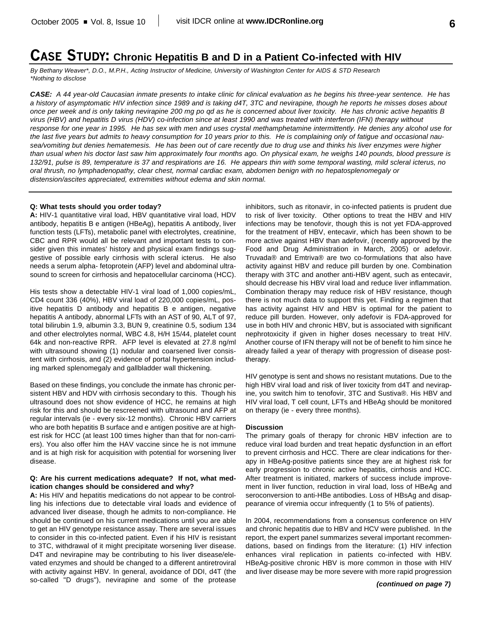# **CASE STUDY: Chronic Hepatitis B and D in a Patient Co-infected with HIV**

*By Bethany Weaver\*, D.O., M.P.H., Acting Instructor of Medicine, University of Washington Center for AIDS & STD Research \*Nothing to disclose*

*CASE: A 44 year-old Caucasian inmate presents to intake clinic for clinical evaluation as he begins his three-year sentence. He has a history of asymptomatic HIV infection since 1989 and is taking d4T, 3TC and nevirapine, though he reports he misses doses about once per week and is only taking nevirapine 200 mg po qd as he is concerned about liver toxicity. He has chronic active hepatitis B virus (HBV) and hepatitis D virus (HDV) co-infection since at least 1990 and was treated with interferon (IFN) therapy without response for one year in 1995. He has sex with men and uses crystal methamphetamine intermittently. He denies any alcohol use for the last five years but admits to heavy consumption for 10 years prior to this. He is complaining only of fatigue and occasional nausea/vomiting but denies hematemesis. He has been out of care recently due to drug use and thinks his liver enzymes were higher than usual when his doctor last saw him approximately four months ago. On physical exam, he weighs 140 pounds, blood pressure is 132/91, pulse is 89, temperature is 37 and respirations are 16. He appears thin with some temporal wasting, mild scleral icterus, no oral thrush, no lymphadenopathy, clear chest, normal cardiac exam, abdomen benign with no hepatosplenomegaly or distension/ascites appreciated, extremities without edema and skin normal.*

#### **Q: What tests should you order today?**

**A:** HIV-1 quantitative viral load, HBV quantitative viral load, HDV antibody, hepatitis B e antigen (HBeAg), hepatitis A antibody, liver function tests (LFTs), metabolic panel with electrolytes, creatinine, CBC and RPR would all be relevant and important tests to consider given this inmates' history and physical exam findings suggestive of possible early cirrhosis with scleral icterus. He also needs a serum alpha- fetoprotein (AFP) level and abdominal ultrasound to screen for cirrhosis and hepatocellular carcinoma (HCC).

His tests show a detectable HIV-1 viral load of 1,000 copies/mL, CD4 count 336 (40%), HBV viral load of 220,000 copies/mL, positive hepatitis D antibody and hepatitis B e antigen, negative hepatitis A antibody, abnormal LFTs with an AST of 90, ALT of 97, total bilirubin 1.9, albumin 3.3, BUN 9, creatinine 0.5, sodium 134 and other electrolytes normal, WBC 4.8, H/H 15/44, platelet count 64k and non-reactive RPR. AFP level is elevated at 27.8 ng/ml with ultrasound showing (1) nodular and coarsened liver consistent with cirrhosis, and (2) evidence of portal hypertension including marked splenomegaly and gallbladder wall thickening.

Based on these findings, you conclude the inmate has chronic persistent HBV and HDV with cirrhosis secondary to this. Though his ultrasound does not show evidence of HCC, he remains at high risk for this and should be rescreened with ultrasound and AFP at regular intervals (ie - every six-12 months). Chronic HBV carriers who are both hepatitis B surface and e antigen positive are at highest risk for HCC (at least 100 times higher than that for non-carriers). You also offer him the HAV vaccine since he is not immune and is at high risk for acquisition with potential for worsening liver disease.

#### **Q: Are his current medications adequate? If not, what medication changes should be considered and why?**

**A:** His HIV and hepatitis medications do not appear to be controlling his infections due to detectable viral loads and evidence of advanced liver disease, though he admits to non-compliance. He should be continued on his current medications until you are able to get an HIV genotype resistance assay. There are several issues to consider in this co-infected patient. Even if his HIV is resistant to 3TC, withdrawal of it might precipitate worsening liver disease. D4T and nevirapine may be contributing to his liver disease/elevated enzymes and should be changed to a different antiretroviral with activity against HBV. In general, avoidance of DDI, d4T (the so-called "D drugs"), nevirapine and some of the protease

inhibitors, such as ritonavir, in co-infected patients is prudent due to risk of liver toxicity. Other options to treat the HBV and HIV infections may be tenofovir, though this is not yet FDA-approved for the treatment of HBV, entecavir, which has been shown to be more active against HBV than adefovir, (recently approved by the Food and Drug Administration in March, 2005) or adefovir. Truvada® and Emtriva® are two co-formulations that also have activity against HBV and reduce pill burden by one. Combination therapy with 3TC and another anti-HBV agent, such as entecavir, should decrease his HBV viral load and reduce liver inflammation. Combination therapy may reduce risk of HBV resistance, though there is not much data to support this yet. Finding a regimen that has activity against HIV and HBV is optimal for the patient to reduce pill burden. However, only adefovir is FDA-approved for use in both HIV and chronic HBV, but is associated with significant nephrotoxicity if given in higher doses necessary to treat HIV. Another course of IFN therapy will not be of benefit to him since he already failed a year of therapy with progression of disease posttherapy.

HIV genotype is sent and shows no resistant mutations. Due to the high HBV viral load and risk of liver toxicity from d4T and nevirapine, you switch him to tenofovir, 3TC and Sustiva®. His HBV and HIV viral load, T cell count, LFTs and HBeAg should be monitored on therapy (ie - every three months).

#### **Discussion**

The primary goals of therapy for chronic HBV infection are to reduce viral load burden and treat hepatic dysfunction in an effort to prevent cirrhosis and HCC. There are clear indications for therapy in HBeAg-positive patients since they are at highest risk for early progression to chronic active hepatitis, cirrhosis and HCC. After treatment is initiated, markers of success include improvement in liver function, reduction in viral load, loss of HBeAg and seroconversion to anti-HBe antibodies. Loss of HBsAg and disappearance of viremia occur infrequently (1 to 5% of patients).

In 2004, recommendations from a consensus conference on HIV and chronic hepatitis due to HBV and HCV were published. In the report, the expert panel summarizes several important recommendations, based on findings from the literature: (1) HIV infection enhances viral replication in patients co-infected with HBV. HBeAg-positive chronic HBV is more common in those with HIV and liver disease may be more severe with more rapid progression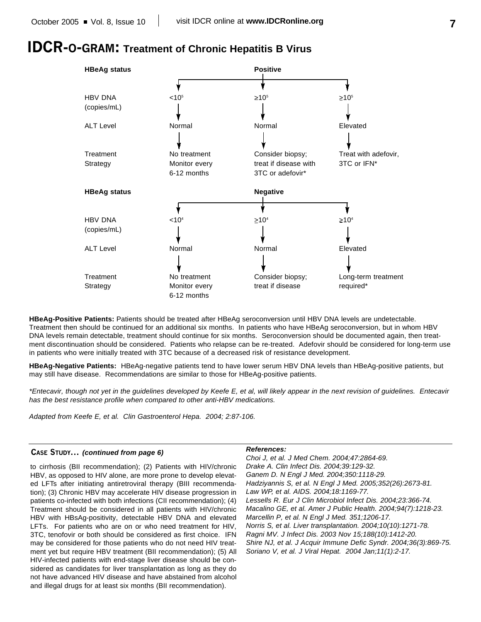# **IDCR-O-GRAM: Treatment of Chronic Hepatitis B Virus**



**HBeAg-Positive Patients:** Patients should be treated after HBeAg seroconversion until HBV DNA levels are undetectable. Treatment then should be continued for an additional six months. In patients who have HBeAg seroconversion, but in whom HBV DNA levels remain detectable, treatment should continue for six months. Seroconversion should be documented again, then treatment discontinuation should be considered. Patients who relapse can be re-treated. Adefovir should be considered for long-term use in patients who were initially treated with 3TC because of a decreased risk of resistance development.

**HBeAg-Negative Patients:** HBeAg-negative patients tend to have lower serum HBV DNA levels than HBeAg-positive patients, but may still have disease. Recommendations are similar to those for HBeAg-positive patients.

*\*Entecavir, though not yet in the guidelines developed by Keefe E, et al, will likely appear in the next revision of guidelines. Entecavir has the best resistance profile when compared to other anti-HBV medications.*

*Adapted from Keefe E, et al. Clin Gastroenterol Hepa. 2004; 2:87-106.*

#### **CASE STUDY...** *(continued from page 6)*

to cirrhosis (BII recommendation); (2) Patients with HIV/chronic HBV, as opposed to HIV alone, are more prone to develop elevated LFTs after initiating antiretroviral therapy (BIII recommendation); (3) Chronic HBV may accelerate HIV disease progression in patients co-infected with both infections (CII recommendation); (4) Treatment should be considered in all patients with HIV/chronic HBV with HBsAg-positivity, detectable HBV DNA and elevated LFTs. For patients who are on or who need treatment for HIV, 3TC, tenofovir or both should be considered as first choice. IFN may be considered for those patients who do not need HIV treatment yet but require HBV treatment (BII recommendation); (5) All HIV-infected patients with end-stage liver disease should be considered as candidates for liver transplantation as long as they do not have advanced HIV disease and have abstained from alcohol and illegal drugs for at least six months (BII recommendation).

#### *References:*

*Choi J, et al. J Med Chem. 2004;47:2864-69. Drake A. Clin Infect Dis. 2004;39:129-32. Ganem D. N Engl J Med. 2004;350:1118-29. Hadziyannis S, et al. N Engl J Med. 2005;352(26):2673-81. Law WP, et al. AIDS. 2004;18:1169-77. Lessells R. Eur J Clin Microbiol Infect Dis. 2004;23:366-74. Macalino GE, et al. Amer J Public Health. 2004;94(7):1218-23. Marcellin P, et al. N Engl J Med. 351;1206-17. Norris S, et al. Liver transplantation. 2004;10(10):1271-78. Ragni MV. J Infect Dis. 2003 Nov 15;188(10):1412-20. Shire NJ, et al. J Acquir Immune Defic Syndr. 2004;36(3):869-75. Soriano V, et al. J Viral Hepat. 2004 Jan;11(1):2-17.*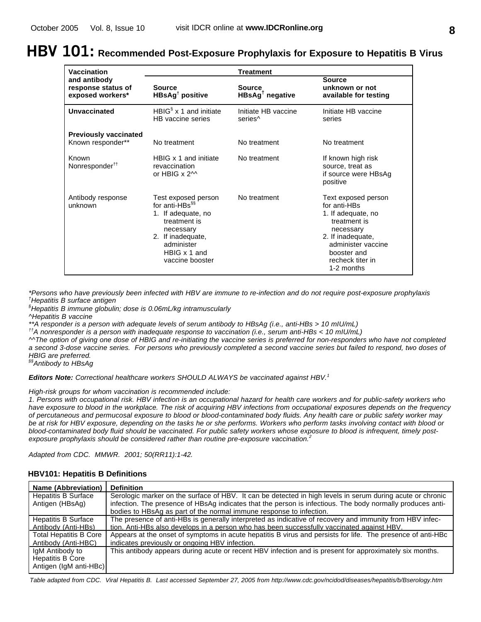# **HBV 101: Recommended Post-Exposure Prophylaxis for Exposure to Hepatitis B Virus**

| Vaccination                                            | <b>Treatment</b>                                                                                                                                                           |                                            |                                                                                                                                                                                    |  |
|--------------------------------------------------------|----------------------------------------------------------------------------------------------------------------------------------------------------------------------------|--------------------------------------------|------------------------------------------------------------------------------------------------------------------------------------------------------------------------------------|--|
| and antibody<br>response status of<br>exposed workers* | <b>Source</b><br>HBsAg <sup>†</sup> positive                                                                                                                               | <b>Source</b><br>$HBSAg†$ negative         | <b>Source</b><br>unknown or not<br>available for testing                                                                                                                           |  |
| <b>Unvaccinated</b>                                    | HBIG <sup>§</sup> $\times$ 1 and initiate<br>HB vaccine series                                                                                                             | Initiate HB vaccine<br>series <sup>^</sup> | Initiate HB vaccine<br>series                                                                                                                                                      |  |
| <b>Previously vaccinated</b><br>Known responder**      | No treatment                                                                                                                                                               | No treatment                               | No treatment                                                                                                                                                                       |  |
| Known<br>Nonresponder <sup>††</sup>                    | HBIG x 1 and initiate<br>revaccination<br>or HBIG $\times$ 2 <sup><math>\land</math></sup>                                                                                 | No treatment                               | If known high risk<br>source, treat as<br>if source were HBsAg<br>positive                                                                                                         |  |
| Antibody response<br>unknown                           | Test exposed person<br>for anti-HBs <sup>§§</sup><br>1. If adequate, no<br>treatment is<br>necessary<br>2. If inadequate,<br>administer<br>HBIG x 1 and<br>vaccine booster | No treatment                               | Text exposed person<br>for anti-HBs<br>1. If adequate, no<br>treatment is<br>necessary<br>2. If inadequate,<br>administer vaccine<br>booster and<br>recheck titer in<br>1-2 months |  |

*\*Persons who have previously been infected with HBV are immune to re-infection and do not require post-exposure prophylaxis †Hepatitis B surface antigen*

*§Hepatitis B immune globulin; dose is 0.06mL/kg intramuscularly*

*^Hepatitis B vaccine*

*\*\*A responder is a person with adequate levels of serum antibody to HBsAg (i.e., anti-HBs > 10 mIU/mL)*

*††A nonresponder is a person with inadequate response to vaccination (i.e., serum anti-HBs < 10 mIU/mL)*

*^^The option of giving one dose of HBIG and re-initiating the vaccine series is preferred for non-responders who have not completed a second 3-dose vaccine series. For persons who previously completed a second vaccine series but failed to respond, two doses of HBIG are preferred.*

*§§Antibody to HBsAg*

*Editors Note: Correctional healthcare workers SHOULD ALWAYS be vaccinated against HBV. 1*

*High-risk groups for whom vaccination is recommended include:*

*1. Persons with occupational risk. HBV infection is an occupational hazard for health care workers and for public-safety workers who have exposure to blood in the workplace. The risk of acquiring HBV infections from occupational exposures depends on the frequency of percutaneous and permucosal exposure to blood or blood-contaminated body fluids. Any health care or public safety worker may be at risk for HBV exposure, depending on the tasks he or she performs. Workers who perform tasks involving contact with blood or blood-contaminated body fluid should be vaccinated. For public safety workers whose exposure to blood is infrequent, timely postexposure prophylaxis should be considered rather than routine pre-exposure vaccination. 2*

*Adapted from CDC. MMWR. 2001; 50(RR11):1-42.*

| Name (Abbreviation)           | <b>Definition</b>                                                                                           |
|-------------------------------|-------------------------------------------------------------------------------------------------------------|
| <b>Hepatitis B Surface</b>    | Serologic marker on the surface of HBV. It can be detected in high levels in serum during acute or chronic  |
| Antigen (HBsAg)               | infection. The presence of HBsAg indicates that the person is infectious. The body normally produces anti-  |
|                               | bodies to HBsAg as part of the normal immune response to infection.                                         |
| <b>Hepatitis B Surface</b>    | The presence of anti-HBs is generally interpreted as indicative of recovery and immunity from HBV infec-    |
| Antibody (Anti-HBs)           | tion. Anti-HBs also develops in a person who has been successfully vaccinated against HBV.                  |
| <b>Total Hepatitis B Core</b> | Appears at the onset of symptoms in acute hepatitis B virus and persists for life. The presence of anti-HBc |
| Antibody (Anti-HBC)           | indicates previously or ongoing HBV infection.                                                              |
| IgM Antibody to               | This antibody appears during acute or recent HBV infection and is present for approximately six months.     |
| <b>Hepatitis B Core</b>       |                                                                                                             |
| Antigen (IgM anti-HBc)        |                                                                                                             |

### **HBV101: Hepatitis B Definitions**

*Table adapted from CDC. Viral Hepatitis B. Last accessed September 27, 2005 from http://www.cdc.gov/ncidod/diseases/hepatitis/b/Bserology.htm*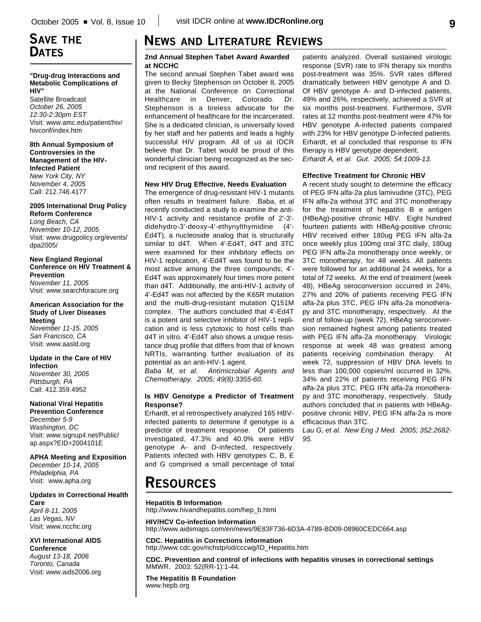# **SAVE THE DATES**

#### **"Drug-drug Interactions and Metabolic Complications of HIV"**

Satellite Broadcast *October 26, 2005 12:30-2:30pm EST* Visit: www.amc.edu/patient/hiv/ hivconf/index.htm

#### **8th Annual Symposium of Controversies in the Management of the HIV-Infected Patient** *New York City, NY November 4, 2005* Call: 212.746.4177

#### **2005 International Drug Policy Reform Conference**

*Long Beach, CA November 10-12, 2005* Visit: www.drugpolicy.org/events/ dpa2005/

**New England Regional Conference on HIV Treatment & Prevention** *November 11, 2005* Visit: www.searchforacure.org

#### **American Association for the Study of Liver Diseases Meeting**

*November 11-15, 2005 San Francisco, CA* Visit: www.aasld.org

#### **Update in the Care of HIV Infection**

*November 30, 2005 Pittsburgh, PA* Call: 412.359.4952

## **National Viral Hepatitis**

**Prevention Conference** *December 5-9 Washington, DC* Visit: www.signup4.net/Public/ ap.aspx?EID=2004101E

#### **APHA Meeting and Exposition**

*December 10-14, 2005 Philadelphia, PA* Visit: www.apha.org

#### **Updates in Correctional Health Care**

*April 8-11, 2005 Las Vegas, NV* Visit: www.ncchc.org

#### **XVI International AIDS Conference**

*August 13-18, 2006 Toronto, Canada* Visit: www.aids2006.org

# **NEWS AND LITERATURE REVIEWS**

### **2nd Annual Stephen Tabet Award Awarded at NCCHC**

The second annual Stephen Tabet award was given to Becky Stephenson on October 8, 2005 at the National Conference on Correctional Healthcare in Denver, Colorado. Dr. Stephenson is a tireless advocate for the enhancement of healthcare for the incarcerated. She is a dedicated clinician, is universally loved by her staff and her patients and leads a highly successful HIV program. All of us at IDCR believe that Dr. Tabet would be proud of this wonderful clinician being recognized as the second recipient of this award.

### **New HIV Drug Effective, Needs Evaluation**

The emergence of drug-resistant HIV-1 mutants often results in treatment failure. Baba, et al recently conducted a study to examine the anti-HIV-1 activity and resistance profile of 2'-3' didehydro-3'-deoxy-4'-ethynylthymidine (4'- Ed4T), a nucleoside analog that is structurally similar to d4T. When 4'-Ed4T, d4T and 3TC were examined for their inhibitory effects on HIV-1 replication, 4'-Ed4T was found to be the most active among the three compounds; 4'- Ed4T was approximately four times more potent than d4T. Additionally, the anti-HIV-1 activity of 4'-Ed4T was not affected by the K65R mutation and the multi-drug-resistant mutation Q151M complex. The authors concluded that 4'-Ed4T is a potent and selective inhibitor of HIV-1 replication and is less cytotoxic to host cells than d4T in vitro. 4'-Ed4T also shows a unique resistance drug profile that differs from that of known NRTIs, warranting further evaluation of its potential as an anti-HIV-1 agent.

*Baba M, et al. Antimicrobial Agents and Chemotherapy. 2005; 49(8):3355-60.*

#### **Is HBV Genotype a Predictor of Treatment Response?**

Erhardt, et al retrospectively analyzed 165 HBVinfected patients to determine if genotype is a predictor of treatment response. Of patients investigated, 47.3% and 40.0% were HBV genotype A- and D-infected, respectively. Patients infected with HBV genotypes C, B, E and G comprised a small percentage of total patients analyzed. Overall sustained virologic response (SVR) rate to IFN therapy six months post-treatment was 35%. SVR rates differed dramatically between HBV genotype A and D. Of HBV genotype A- and D-infected patients, 49% and 26%, respectively, achieved a SVR at six months post-treatment. Furthermore, SVR rates at 12 months post-treatment were 47% for HBV genotype A-infected patients compared with 23% for HBV genotype D-infected patients. Erhardt, et al concluded that response to IFN therapy is HBV genotype dependent.

*Erhardt A, et al. Gut. 2005; 54:1009-13.*

### **Effective Treatment for Chronic HBV**

A recent study sought to determine the efficacy of PEG IFN alfa-2a plus lamivudine (3TC), PEG IFN alfa-2a without 3TC and 3TC monotherapy for the treatment of hepatitis B e antigen (HBeAg)-positive chronic HBV. Eight hundred fourteen patients with HBeAg-positive chronic HBV received either 180ug PEG IFN alfa-2a once weekly plus 100mg oral 3TC daily, 180ug PEG IFN alfa-2a monotherapy once weekly, or 3TC monotherapy, for 48 weeks. All patients were followed for an additional 24 weeks, for a total of 72 weeks. At the end of treatment (week 48), HBeAg seroconversion occurred in 24%, 27% and 20% of patients receiving PEG IFN alfa-2a plus 3TC, PEG IFN alfa-2a monotherapy and 3TC monotherapy, respectively. At the end of follow-up (week 72), HBeAg seroconversion remained highest among patients treated with PEG IFN alfa-2a monotherapy. Virologic response at week 48 was greatest among patients receiving combination therapy. At week 72, suppression of HBV DNA levels to less than 100,000 copies/ml occurred in 32%, 34% and 22% of patients receiving PEG IFN alfa-2a plus 3TC, PEG IFN alfa-2a monotherapy and 3TC monotherapy, respectively. Study authors concluded that in patients with HBeAgpositive chronic HBV, PEG IFN alfa-2a is more efficacious than 3TC.

*Lau G, et al. New Eng J Med. 2005; 352:2682- 95.*

# **RESOURCES**

#### **Hepatitis B Information**

http://www.hivandhepatitis.com/hep\_b.html

**HIV/HCV Co-infection Information** http://www.aidsmaps.com/en/news/9E83F736-6D3A-4789-BD09-08960CEDC664.asp

**CDC. Hepatitis in Corrections information** http://www.cdc.gov/nchstp/od/cccwg/ID\_Hepatitis.htm

**CDC. Prevention and control of infections with hepatitis viruses in correctional settings** MMWR. 2003; 52(RR-1):1-44.

**The Hepatitis B Foundation** www.hepb.org